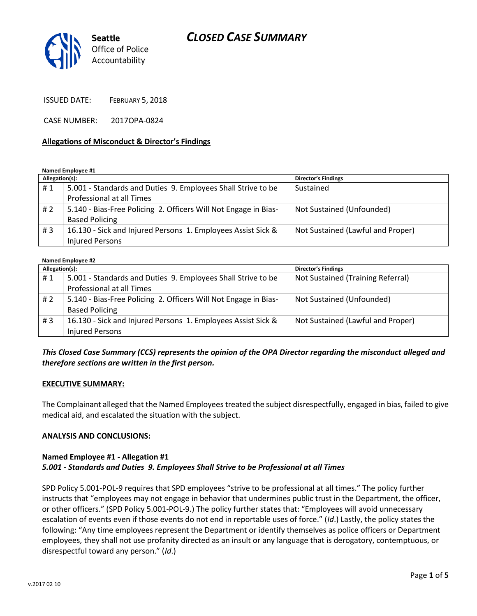

ISSUED DATE: FEBRUARY 5, 2018

CASE NUMBER: 2017OPA-0824

#### **Allegations of Misconduct & Director's Findings**

**Named Employee #1**

| Allegation(s): |                                                                 | <b>Director's Findings</b>        |
|----------------|-----------------------------------------------------------------|-----------------------------------|
| #1             | 5.001 - Standards and Duties 9. Employees Shall Strive to be    | Sustained                         |
|                | Professional at all Times                                       |                                   |
| #2             | 5.140 - Bias-Free Policing 2. Officers Will Not Engage in Bias- | Not Sustained (Unfounded)         |
|                | <b>Based Policing</b>                                           |                                   |
| #3             | 16.130 - Sick and Injured Persons 1. Employees Assist Sick &    | Not Sustained (Lawful and Proper) |
|                | <b>Injured Persons</b>                                          |                                   |

#### **Named Employee #2**

| Allegation(s): |                                                                 | <b>Director's Findings</b>        |  |
|----------------|-----------------------------------------------------------------|-----------------------------------|--|
| #1             | 5.001 - Standards and Duties 9. Employees Shall Strive to be    | Not Sustained (Training Referral) |  |
|                | Professional at all Times                                       |                                   |  |
| #2             | 5.140 - Bias-Free Policing 2. Officers Will Not Engage in Bias- | Not Sustained (Unfounded)         |  |
|                | <b>Based Policing</b>                                           |                                   |  |
| #3             | 16.130 - Sick and Injured Persons 1. Employees Assist Sick &    | Not Sustained (Lawful and Proper) |  |
|                | <b>Injured Persons</b>                                          |                                   |  |

### *This Closed Case Summary (CCS) represents the opinion of the OPA Director regarding the misconduct alleged and therefore sections are written in the first person.*

#### **EXECUTIVE SUMMARY:**

The Complainant alleged that the Named Employees treated the subject disrespectfully, engaged in bias, failed to give medical aid, and escalated the situation with the subject.

#### **ANALYSIS AND CONCLUSIONS:**

#### **Named Employee #1 - Allegation #1** *5.001 - Standards and Duties 9. Employees Shall Strive to be Professional at all Times*

SPD Policy 5.001-POL-9 requires that SPD employees "strive to be professional at all times." The policy further instructs that "employees may not engage in behavior that undermines public trust in the Department, the officer, or other officers." (SPD Policy 5.001-POL-9.) The policy further states that: "Employees will avoid unnecessary escalation of events even if those events do not end in reportable uses of force." (*Id*.) Lastly, the policy states the following: "Any time employees represent the Department or identify themselves as police officers or Department employees, they shall not use profanity directed as an insult or any language that is derogatory, contemptuous, or disrespectful toward any person." (*Id*.)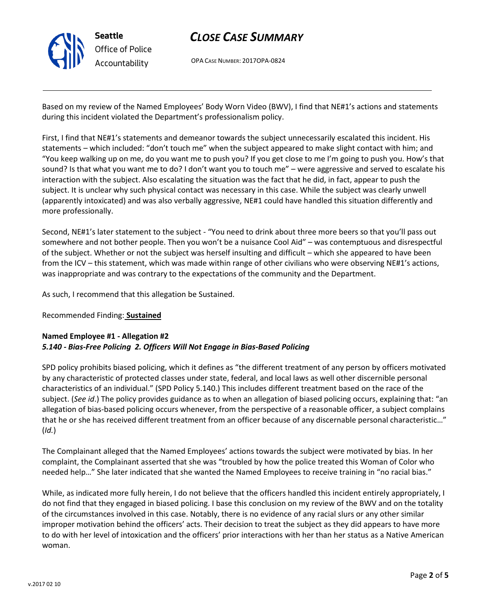

OPA CASE NUMBER: 2017OPA-0824

Based on my review of the Named Employees' Body Worn Video (BWV), I find that NE#1's actions and statements during this incident violated the Department's professionalism policy.

First, I find that NE#1's statements and demeanor towards the subject unnecessarily escalated this incident. His statements – which included: "don't touch me" when the subject appeared to make slight contact with him; and "You keep walking up on me, do you want me to push you? If you get close to me I'm going to push you. How's that sound? Is that what you want me to do? I don't want you to touch me" – were aggressive and served to escalate his interaction with the subject. Also escalating the situation was the fact that he did, in fact, appear to push the subject. It is unclear why such physical contact was necessary in this case. While the subject was clearly unwell (apparently intoxicated) and was also verbally aggressive, NE#1 could have handled this situation differently and more professionally.

Second, NE#1's later statement to the subject - "You need to drink about three more beers so that you'll pass out somewhere and not bother people. Then you won't be a nuisance Cool Aid" – was contemptuous and disrespectful of the subject. Whether or not the subject was herself insulting and difficult – which she appeared to have been from the ICV – this statement, which was made within range of other civilians who were observing NE#1's actions, was inappropriate and was contrary to the expectations of the community and the Department.

As such, I recommend that this allegation be Sustained.

#### Recommended Finding: **Sustained**

### **Named Employee #1 - Allegation #2** *5.140 - Bias-Free Policing 2. Officers Will Not Engage in Bias-Based Policing*

SPD policy prohibits biased policing, which it defines as "the different treatment of any person by officers motivated by any characteristic of protected classes under state, federal, and local laws as well other discernible personal characteristics of an individual." (SPD Policy 5.140.) This includes different treatment based on the race of the subject. (*See id*.) The policy provides guidance as to when an allegation of biased policing occurs, explaining that: "an allegation of bias-based policing occurs whenever, from the perspective of a reasonable officer, a subject complains that he or she has received different treatment from an officer because of any discernable personal characteristic…" (*Id.*)

The Complainant alleged that the Named Employees' actions towards the subject were motivated by bias. In her complaint, the Complainant asserted that she was "troubled by how the police treated this Woman of Color who needed help…" She later indicated that she wanted the Named Employees to receive training in "no racial bias."

While, as indicated more fully herein, I do not believe that the officers handled this incident entirely appropriately, I do not find that they engaged in biased policing. I base this conclusion on my review of the BWV and on the totality of the circumstances involved in this case. Notably, there is no evidence of any racial slurs or any other similar improper motivation behind the officers' acts. Their decision to treat the subject as they did appears to have more to do with her level of intoxication and the officers' prior interactions with her than her status as a Native American woman.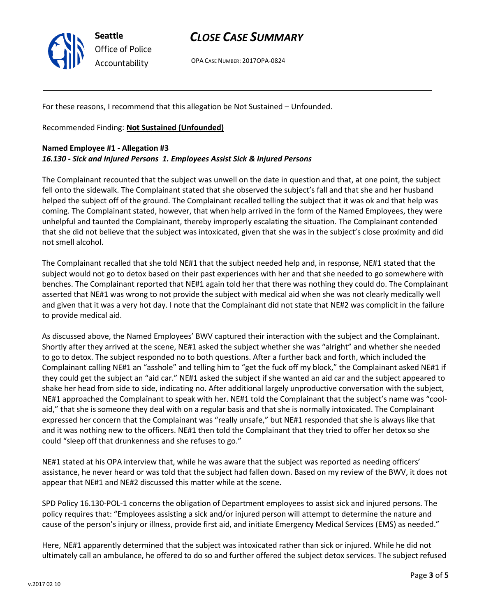

OPA CASE NUMBER: 2017OPA-0824

For these reasons, I recommend that this allegation be Not Sustained – Unfounded.

Recommended Finding: **Not Sustained (Unfounded)**

### **Named Employee #1 - Allegation #3** *16.130 - Sick and Injured Persons 1. Employees Assist Sick & Injured Persons*

The Complainant recounted that the subject was unwell on the date in question and that, at one point, the subject fell onto the sidewalk. The Complainant stated that she observed the subject's fall and that she and her husband helped the subject off of the ground. The Complainant recalled telling the subject that it was ok and that help was coming. The Complainant stated, however, that when help arrived in the form of the Named Employees, they were unhelpful and taunted the Complainant, thereby improperly escalating the situation. The Complainant contended that she did not believe that the subject was intoxicated, given that she was in the subject's close proximity and did not smell alcohol.

The Complainant recalled that she told NE#1 that the subject needed help and, in response, NE#1 stated that the subject would not go to detox based on their past experiences with her and that she needed to go somewhere with benches. The Complainant reported that NE#1 again told her that there was nothing they could do. The Complainant asserted that NE#1 was wrong to not provide the subject with medical aid when she was not clearly medically well and given that it was a very hot day. I note that the Complainant did not state that NE#2 was complicit in the failure to provide medical aid.

As discussed above, the Named Employees' BWV captured their interaction with the subject and the Complainant. Shortly after they arrived at the scene, NE#1 asked the subject whether she was "alright" and whether she needed to go to detox. The subject responded no to both questions. After a further back and forth, which included the Complainant calling NE#1 an "asshole" and telling him to "get the fuck off my block," the Complainant asked NE#1 if they could get the subject an "aid car." NE#1 asked the subject if she wanted an aid car and the subject appeared to shake her head from side to side, indicating no. After additional largely unproductive conversation with the subject, NE#1 approached the Complainant to speak with her. NE#1 told the Complainant that the subject's name was "coolaid," that she is someone they deal with on a regular basis and that she is normally intoxicated. The Complainant expressed her concern that the Complainant was "really unsafe," but NE#1 responded that she is always like that and it was nothing new to the officers. NE#1 then told the Complainant that they tried to offer her detox so she could "sleep off that drunkenness and she refuses to go."

NE#1 stated at his OPA interview that, while he was aware that the subject was reported as needing officers' assistance, he never heard or was told that the subject had fallen down. Based on my review of the BWV, it does not appear that NE#1 and NE#2 discussed this matter while at the scene.

SPD Policy 16.130-POL-1 concerns the obligation of Department employees to assist sick and injured persons. The policy requires that: "Employees assisting a sick and/or injured person will attempt to determine the nature and cause of the person's injury or illness, provide first aid, and initiate Emergency Medical Services (EMS) as needed."

Here, NE#1 apparently determined that the subject was intoxicated rather than sick or injured. While he did not ultimately call an ambulance, he offered to do so and further offered the subject detox services. The subject refused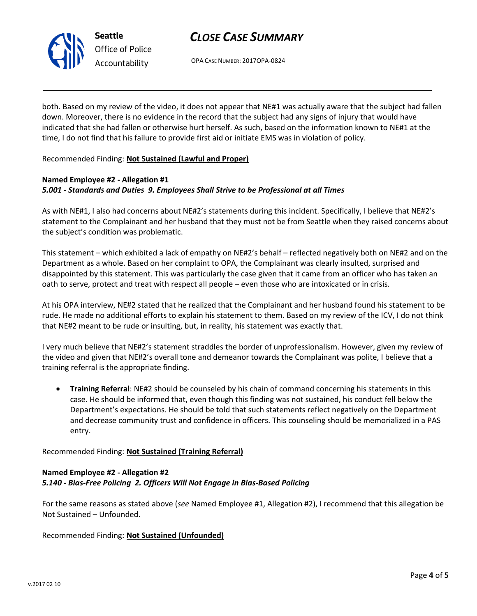

OPA CASE NUMBER: 2017OPA-0824

both. Based on my review of the video, it does not appear that NE#1 was actually aware that the subject had fallen down. Moreover, there is no evidence in the record that the subject had any signs of injury that would have indicated that she had fallen or otherwise hurt herself. As such, based on the information known to NE#1 at the time, I do not find that his failure to provide first aid or initiate EMS was in violation of policy.

Recommended Finding: **Not Sustained (Lawful and Proper)**

### **Named Employee #2 - Allegation #1** *5.001 - Standards and Duties 9. Employees Shall Strive to be Professional at all Times*

As with NE#1, I also had concerns about NE#2's statements during this incident. Specifically, I believe that NE#2's statement to the Complainant and her husband that they must not be from Seattle when they raised concerns about the subject's condition was problematic.

This statement – which exhibited a lack of empathy on NE#2's behalf – reflected negatively both on NE#2 and on the Department as a whole. Based on her complaint to OPA, the Complainant was clearly insulted, surprised and disappointed by this statement. This was particularly the case given that it came from an officer who has taken an oath to serve, protect and treat with respect all people – even those who are intoxicated or in crisis.

At his OPA interview, NE#2 stated that he realized that the Complainant and her husband found his statement to be rude. He made no additional efforts to explain his statement to them. Based on my review of the ICV, I do not think that NE#2 meant to be rude or insulting, but, in reality, his statement was exactly that.

I very much believe that NE#2's statement straddles the border of unprofessionalism. However, given my review of the video and given that NE#2's overall tone and demeanor towards the Complainant was polite, I believe that a training referral is the appropriate finding.

• **Training Referral**: NE#2 should be counseled by his chain of command concerning his statements in this case. He should be informed that, even though this finding was not sustained, his conduct fell below the Department's expectations. He should be told that such statements reflect negatively on the Department and decrease community trust and confidence in officers. This counseling should be memorialized in a PAS entry.

Recommended Finding: **Not Sustained (Training Referral)**

## **Named Employee #2 - Allegation #2** *5.140 - Bias-Free Policing 2. Officers Will Not Engage in Bias-Based Policing*

For the same reasons as stated above (*see* Named Employee #1, Allegation #2), I recommend that this allegation be Not Sustained – Unfounded.

Recommended Finding: **Not Sustained (Unfounded)**